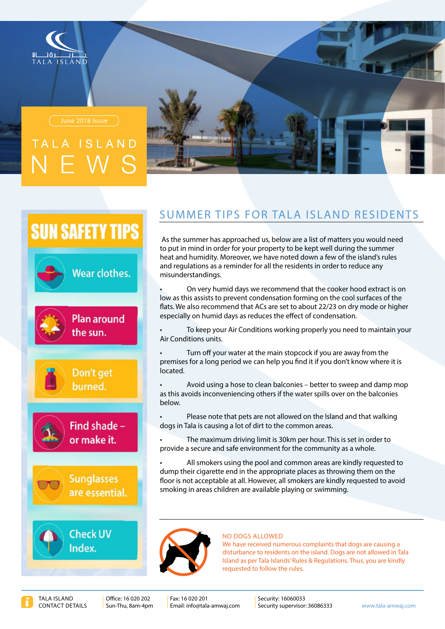



# AND



## **SUN SAFETY TIPS**







## SUMMER TIPS FOR TALA ISLAND RESIDENTS

As the summer has approached us, below are a list of matters you would need to put in mind in order for your property to be kept well during the summer heat and humidity. Moreover, we have noted down a few of the island's rules and requlations as a reminder for all the residents in order to reduce any misunderstandings.

On very humid days we recommend that the cooker hood extract is on low as this assists to prevent condensation forming on the cool surfaces of the flats. We also recommend that ACs are set to about 22/23 on dry mode or higher especially on humid days as reduces the effect of condensation.

To keep your Air Conditions working properly you need to maintain your Air Conditions units.

Turn off your water at the main stopcock if you are away from the premises for a long period we can help you find it if you don't know where it is .located

Avoid using a hose to clean balconies – better to sweep and damp mop as this avoids inconveniencing others if the water spills over on the balconies .below

Please note that pets are not allowed on the Island and that walking dogs in Tala is causing a lot of dirt to the common areas.

The maximum driving limit is 30km per hour. This is set in order to provide a secure and safe environment for the community as a whole.

All smokers using the pool and common areas are kindly requested to dump their cigarette end in the appropriate places as throwing them on the floor is not acceptable at all. However, all smokers are kindly requested to avoid smoking in areas children are available playing or swimming.



### **NO DOGS ALLOWED**

We have received numerous complaints that dogs are causing a disturbance to residents on the island. Dogs are not allowed in Tala Island as per Tala Islands' Rules & Regulations. Thus, you are kindly requested to follow the rules.

Eax: 16.020.201 Email: info@tala-amwaj.com